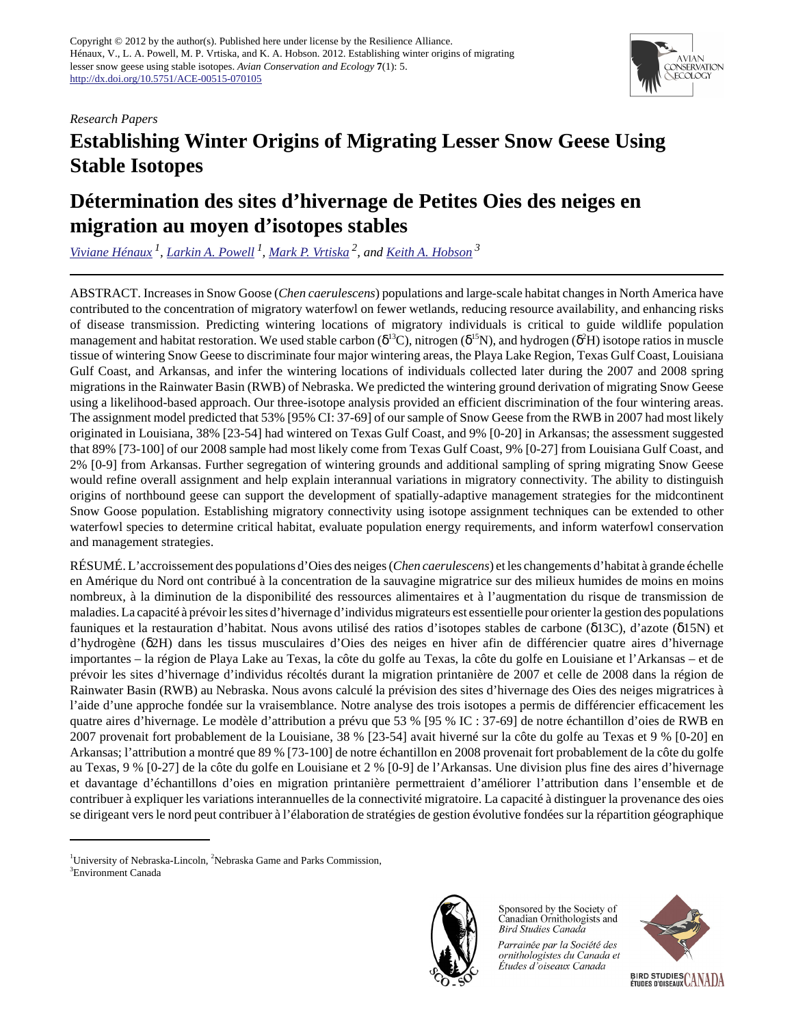### *Research Papers*



# **Establishing Winter Origins of Migrating Lesser Snow Geese Using Stable Isotopes**

# **Détermination des sites d'hivernage de Petites Oies des neiges en migration au moyen d'isotopes stables**

*[Viviane Hénaux](mailto:henaux@wisc.edu)<sup>1</sup> , [Larkin A. Powell](mailto:lpowell3@unl.edu)<sup>1</sup> , [Mark P. Vrtiska](mailto:mark.vrtiska@nebraska.gov) 2, and [Keith A. Hobson](mailto:keith.hobson@ec.gc.ca)<sup>3</sup>*

ABSTRACT. Increases in Snow Goose (*Chen caerulescens*) populations and large-scale habitat changes in North America have contributed to the concentration of migratory waterfowl on fewer wetlands, reducing resource availability, and enhancing risks of disease transmission. Predicting wintering locations of migratory individuals is critical to guide wildlife population management and habitat restoration. We used stable carbon ( $\delta^{13}C$ ), nitrogen ( $\delta^{15}N$ ), and hydrogen ( $\delta^{2}H$ ) isotope ratios in muscle tissue of wintering Snow Geese to discriminate four major wintering areas, the Playa Lake Region, Texas Gulf Coast, Louisiana Gulf Coast, and Arkansas, and infer the wintering locations of individuals collected later during the 2007 and 2008 spring migrations in the Rainwater Basin (RWB) of Nebraska. We predicted the wintering ground derivation of migrating Snow Geese using a likelihood-based approach. Our three-isotope analysis provided an efficient discrimination of the four wintering areas. The assignment model predicted that 53% [95% CI: 37-69] of our sample of Snow Geese from the RWB in 2007 had most likely originated in Louisiana, 38% [23-54] had wintered on Texas Gulf Coast, and 9% [0-20] in Arkansas; the assessment suggested that 89% [73-100] of our 2008 sample had most likely come from Texas Gulf Coast, 9% [0-27] from Louisiana Gulf Coast, and 2% [0-9] from Arkansas. Further segregation of wintering grounds and additional sampling of spring migrating Snow Geese would refine overall assignment and help explain interannual variations in migratory connectivity. The ability to distinguish origins of northbound geese can support the development of spatially-adaptive management strategies for the midcontinent Snow Goose population. Establishing migratory connectivity using isotope assignment techniques can be extended to other waterfowl species to determine critical habitat, evaluate population energy requirements, and inform waterfowl conservation and management strategies.

RÉSUMÉ. L'accroissement des populations d'Oies des neiges (*Chen caerulescens*) et les changements d'habitat à grande échelle en Amérique du Nord ont contribué à la concentration de la sauvagine migratrice sur des milieux humides de moins en moins nombreux, à la diminution de la disponibilité des ressources alimentaires et à l'augmentation du risque de transmission de maladies. La capacité à prévoir les sites d'hivernage d'individus migrateurs est essentielle pour orienter la gestion des populations fauniques et la restauration d'habitat. Nous avons utilisé des ratios d'isotopes stables de carbone (δ13C), d'azote (δ15N) et d'hydrogène (δ2H) dans les tissus musculaires d'Oies des neiges en hiver afin de différencier quatre aires d'hivernage importantes – la région de Playa Lake au Texas, la côte du golfe au Texas, la côte du golfe en Louisiane et l'Arkansas – et de prévoir les sites d'hivernage d'individus récoltés durant la migration printanière de 2007 et celle de 2008 dans la région de Rainwater Basin (RWB) au Nebraska. Nous avons calculé la prévision des sites d'hivernage des Oies des neiges migratrices à l'aide d'une approche fondée sur la vraisemblance. Notre analyse des trois isotopes a permis de différencier efficacement les quatre aires d'hivernage. Le modèle d'attribution a prévu que 53 % [95 % IC : 37-69] de notre échantillon d'oies de RWB en 2007 provenait fort probablement de la Louisiane, 38 % [23-54] avait hiverné sur la côte du golfe au Texas et 9 % [0-20] en Arkansas; l'attribution a montré que 89 % [73-100] de notre échantillon en 2008 provenait fort probablement de la côte du golfe au Texas, 9 % [0-27] de la côte du golfe en Louisiane et 2 % [0-9] de l'Arkansas. Une division plus fine des aires d'hivernage et davantage d'échantillons d'oies en migration printanière permettraient d'améliorer l'attribution dans l'ensemble et de contribuer à expliquer les variations interannuelles de la connectivité migratoire. La capacité à distinguer la provenance des oies se dirigeant vers le nord peut contribuer à l'élaboration de stratégies de gestion évolutive fondées sur la répartition géographique

<sup>&</sup>lt;sup>1</sup>University of Nebraska-Lincoln, <sup>2</sup>Nebraska Game and Parks Commission, 3 Environment Canada



Sponsored by the Society of Canadian Ornithologists and **Bird Studies Canada** 

Parrainée par la Société des ornithologistes du Canada et Études d'oiseaux Canada

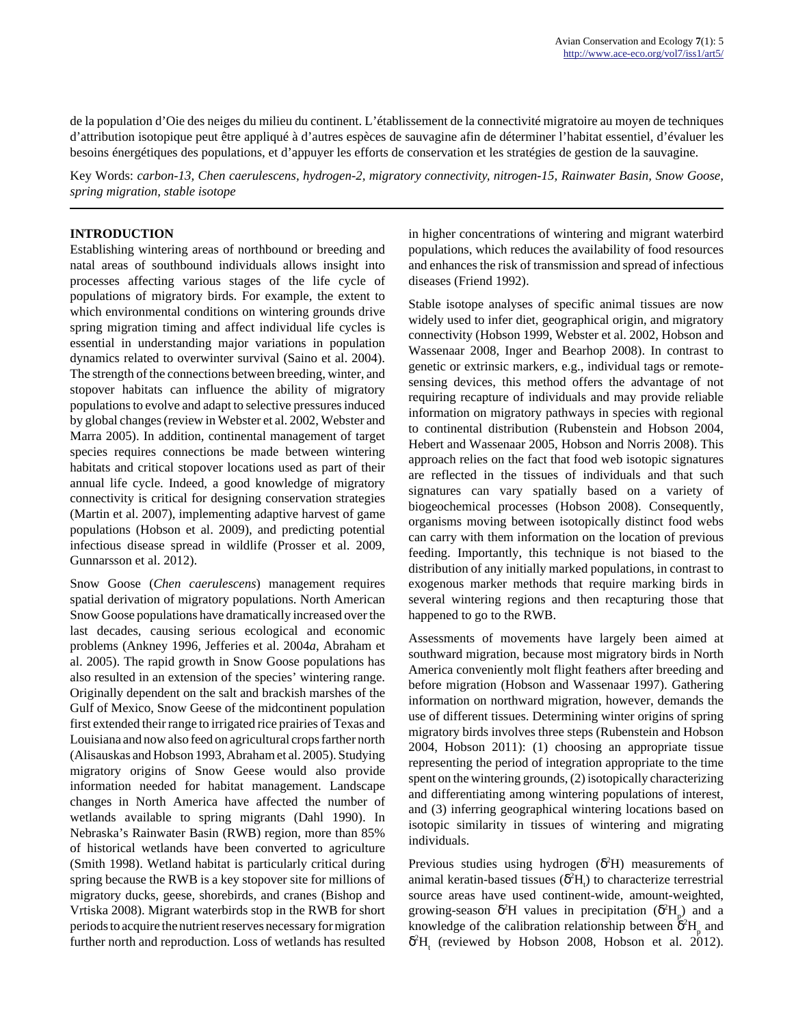de la population d'Oie des neiges du milieu du continent. L'établissement de la connectivité migratoire au moyen de techniques d'attribution isotopique peut être appliqué à d'autres espèces de sauvagine afin de déterminer l'habitat essentiel, d'évaluer les besoins énergétiques des populations, et d'appuyer les efforts de conservation et les stratégies de gestion de la sauvagine.

Key Words: *carbon-13, Chen caerulescens, hydrogen-2, migratory connectivity, nitrogen-15, Rainwater Basin, Snow Goose, spring migration, stable isotope*

# **INTRODUCTION**

Establishing wintering areas of northbound or breeding and natal areas of southbound individuals allows insight into processes affecting various stages of the life cycle of populations of migratory birds. For example, the extent to which environmental conditions on wintering grounds drive spring migration timing and affect individual life cycles is essential in understanding major variations in population dynamics related to overwinter survival (Saino et al. 2004). The strength of the connections between breeding, winter, and stopover habitats can influence the ability of migratory populations to evolve and adapt to selective pressures induced by global changes (review in Webster et al. 2002, Webster and Marra 2005). In addition, continental management of target species requires connections be made between wintering habitats and critical stopover locations used as part of their annual life cycle. Indeed, a good knowledge of migratory connectivity is critical for designing conservation strategies (Martin et al. 2007), implementing adaptive harvest of game populations (Hobson et al. 2009), and predicting potential infectious disease spread in wildlife (Prosser et al. 2009, Gunnarsson et al. 2012).

Snow Goose (*Chen caerulescens*) management requires spatial derivation of migratory populations. North American Snow Goose populations have dramatically increased over the last decades, causing serious ecological and economic problems (Ankney 1996, Jefferies et al. 2004*a*, Abraham et al. 2005). The rapid growth in Snow Goose populations has also resulted in an extension of the species' wintering range. Originally dependent on the salt and brackish marshes of the Gulf of Mexico, Snow Geese of the midcontinent population first extended their range to irrigated rice prairies of Texas and Louisiana and now also feed on agricultural crops farther north (Alisauskas and Hobson 1993, Abraham et al. 2005). Studying migratory origins of Snow Geese would also provide information needed for habitat management. Landscape changes in North America have affected the number of wetlands available to spring migrants (Dahl 1990). In Nebraska's Rainwater Basin (RWB) region, more than 85% of historical wetlands have been converted to agriculture (Smith 1998). Wetland habitat is particularly critical during spring because the RWB is a key stopover site for millions of migratory ducks, geese, shorebirds, and cranes (Bishop and Vrtiska 2008). Migrant waterbirds stop in the RWB for short periods to acquire the nutrient reserves necessary for migration further north and reproduction. Loss of wetlands has resulted in higher concentrations of wintering and migrant waterbird populations, which reduces the availability of food resources and enhances the risk of transmission and spread of infectious diseases (Friend 1992).

Stable isotope analyses of specific animal tissues are now widely used to infer diet, geographical origin, and migratory connectivity (Hobson 1999, Webster et al. 2002, Hobson and Wassenaar 2008, Inger and Bearhop 2008). In contrast to genetic or extrinsic markers, e.g., individual tags or remotesensing devices, this method offers the advantage of not requiring recapture of individuals and may provide reliable information on migratory pathways in species with regional to continental distribution (Rubenstein and Hobson 2004, Hebert and Wassenaar 2005, Hobson and Norris 2008). This approach relies on the fact that food web isotopic signatures are reflected in the tissues of individuals and that such signatures can vary spatially based on a variety of biogeochemical processes (Hobson 2008). Consequently, organisms moving between isotopically distinct food webs can carry with them information on the location of previous feeding. Importantly, this technique is not biased to the distribution of any initially marked populations, in contrast to exogenous marker methods that require marking birds in several wintering regions and then recapturing those that happened to go to the RWB.

Assessments of movements have largely been aimed at southward migration, because most migratory birds in North America conveniently molt flight feathers after breeding and before migration (Hobson and Wassenaar 1997). Gathering information on northward migration, however, demands the use of different tissues. Determining winter origins of spring migratory birds involves three steps (Rubenstein and Hobson 2004, Hobson 2011): (1) choosing an appropriate tissue representing the period of integration appropriate to the time spent on the wintering grounds, (2) isotopically characterizing and differentiating among wintering populations of interest, and (3) inferring geographical wintering locations based on isotopic similarity in tissues of wintering and migrating individuals.

Previous studies using hydrogen  $(\delta^2 H)$  measurements of animal keratin-based tissues  $(\delta^2 H_t)$  to characterize terrestrial source areas have used continent-wide, amount-weighted, growing-season  $\delta^2$ H values in precipitation  $(\delta^2 H_p)$  and a knowledge of the calibration relationship between  $\delta^2 H_p$  and  $\delta^2$ H<sub>t</sub> (reviewed by Hobson 2008, Hobson et al. 2012).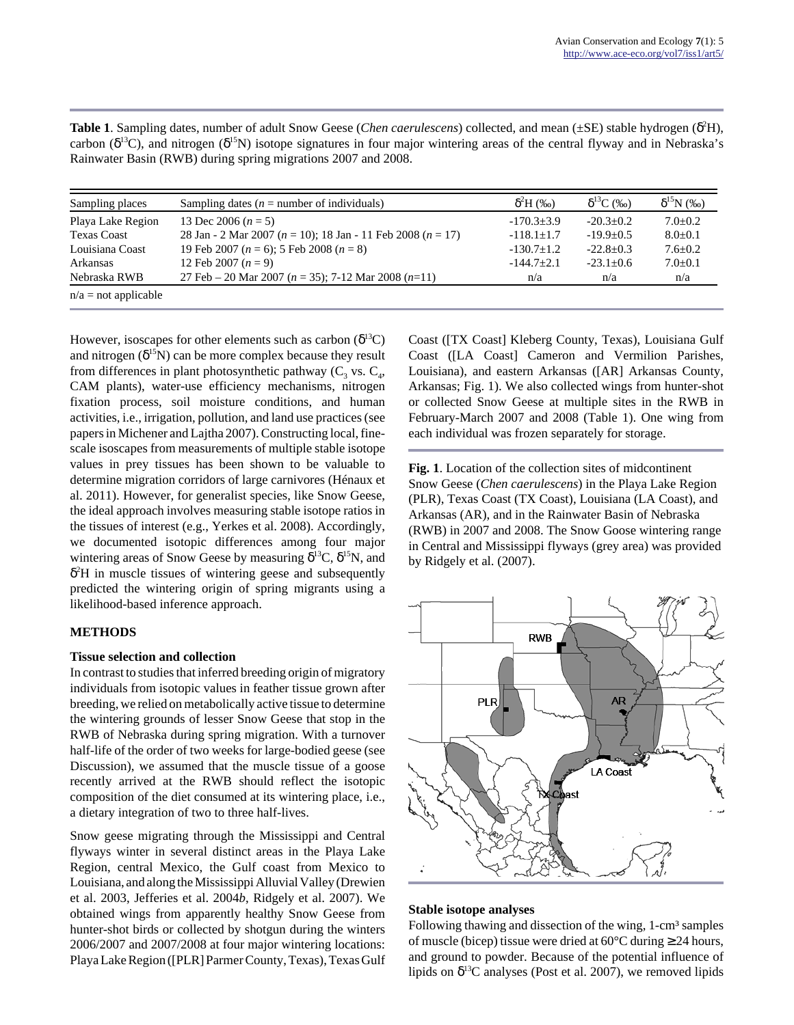| Sampling places        | Sampling dates ( $n =$ number of individuals)                       | $\delta^2$ H (‰) | $\delta^{13}C$ (‰) | $\delta^{15}N$ (%) |
|------------------------|---------------------------------------------------------------------|------------------|--------------------|--------------------|
| Playa Lake Region      | 13 Dec 2006 $(n = 5)$                                               | $-170.3+3.9$     | $-20.3+0.2$        | $7.0+0.2$          |
| <b>Texas Coast</b>     | 28 Jan - 2 Mar 2007 ( $n = 10$ ); 18 Jan - 11 Feb 2008 ( $n = 17$ ) | $-118.1+1.7$     | $-19.9+0.5$        | $8.0 + 0.1$        |
| Louisiana Coast        | 19 Feb 2007 ( $n = 6$ ); 5 Feb 2008 ( $n = 8$ )                     | $-130.7 \pm 1.2$ | $-22.8 \pm 0.3$    | $7.6 \pm 0.2$      |
| Arkansas               | 12 Feb 2007 $(n = 9)$                                               | $-144.7+2.1$     | $-23.1+0.6$        | $7.0 \pm 0.1$      |
| Nebraska RWB           | 27 Feb – 20 Mar 2007 ( $n = 35$ ); 7-12 Mar 2008 ( $n=11$ )         | n/a              | n/a                | n/a                |
| $n/a = not applicable$ |                                                                     |                  |                    |                    |

**Table 1**. Sampling dates, number of adult Snow Geese (*Chen caerulescens*) collected, and mean (±SE) stable hydrogen (δ <sup>2</sup>H), carbon ( $\delta^{13}$ C), and nitrogen ( $\delta^{15}$ N) isotope signatures in four major wintering areas of the central flyway and in Nebraska's Rainwater Basin (RWB) during spring migrations 2007 and 2008.

However, isoscapes for other elements such as carbon  $(\delta^{13}C)$ and nitrogen  $(\delta^{15}N)$  can be more complex because they result from differences in plant photosynthetic pathway  $(C_3$  vs.  $C_4$ , CAM plants), water-use efficiency mechanisms, nitrogen fixation process, soil moisture conditions, and human activities, i.e., irrigation, pollution, and land use practices (see papers in Michener and Lajtha 2007). Constructing local, finescale isoscapes from measurements of multiple stable isotope values in prey tissues has been shown to be valuable to determine migration corridors of large carnivores (Hénaux et al. 2011). However, for generalist species, like Snow Geese, the ideal approach involves measuring stable isotope ratios in the tissues of interest (e.g., Yerkes et al. 2008). Accordingly, we documented isotopic differences among four major wintering areas of Snow Geese by measuring  $\delta^{13}C$ ,  $\delta^{15}N$ , and δ <sup>2</sup>H in muscle tissues of wintering geese and subsequently predicted the wintering origin of spring migrants using a likelihood-based inference approach.

# **METHODS**

#### **Tissue selection and collection**

In contrast to studies that inferred breeding origin of migratory individuals from isotopic values in feather tissue grown after breeding, we relied on metabolically active tissue to determine the wintering grounds of lesser Snow Geese that stop in the RWB of Nebraska during spring migration. With a turnover half-life of the order of two weeks for large-bodied geese (see Discussion), we assumed that the muscle tissue of a goose recently arrived at the RWB should reflect the isotopic composition of the diet consumed at its wintering place, i.e., a dietary integration of two to three half-lives.

Snow geese migrating through the Mississippi and Central flyways winter in several distinct areas in the Playa Lake Region, central Mexico, the Gulf coast from Mexico to Louisiana, and along the Mississippi Alluvial Valley (Drewien et al. 2003, Jefferies et al. 2004*b*, Ridgely et al. 2007). We obtained wings from apparently healthy Snow Geese from hunter-shot birds or collected by shotgun during the winters 2006/2007 and 2007/2008 at four major wintering locations: Playa Lake Region ([PLR] Parmer County, Texas), Texas Gulf Coast ([TX Coast] Kleberg County, Texas), Louisiana Gulf Coast ([LA Coast] Cameron and Vermilion Parishes, Louisiana), and eastern Arkansas ([AR] Arkansas County, Arkansas; Fig. 1). We also collected wings from hunter-shot or collected Snow Geese at multiple sites in the RWB in February-March 2007 and 2008 (Table 1). One wing from each individual was frozen separately for storage.

**Fig. 1**. Location of the collection sites of midcontinent Snow Geese (*Chen caerulescens*) in the Playa Lake Region (PLR), Texas Coast (TX Coast), Louisiana (LA Coast), and Arkansas (AR), and in the Rainwater Basin of Nebraska (RWB) in 2007 and 2008. The Snow Goose wintering range in Central and Mississippi flyways (grey area) was provided by Ridgely et al. (2007).



#### **Stable isotope analyses**

Following thawing and dissection of the wing, 1-cm<sup>3</sup> samples of muscle (bicep) tissue were dried at  $60^{\circ}$ C during  $\geq 24$  hours, and ground to powder. Because of the potential influence of lipids on  $\delta^{13}$ C analyses (Post et al. 2007), we removed lipids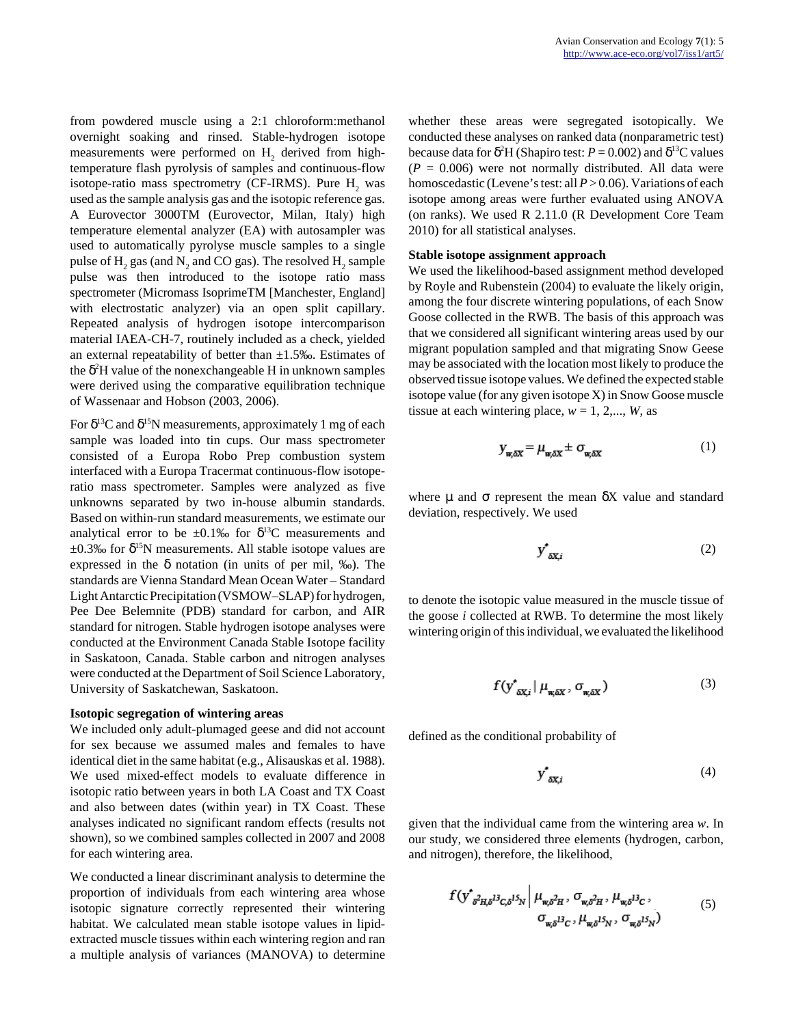from powdered muscle using a 2:1 chloroform:methanol overnight soaking and rinsed. Stable-hydrogen isotope measurements were performed on  $H_2$  derived from hightemperature flash pyrolysis of samples and continuous-flow isotope-ratio mass spectrometry (CF-IRMS). Pure  $H_2$  was used as the sample analysis gas and the isotopic reference gas. A Eurovector 3000TM (Eurovector, Milan, Italy) high temperature elemental analyzer (EA) with autosampler was used to automatically pyrolyse muscle samples to a single pulse of  $\mathrm{H}_{2}$  gas (and  $\mathrm{N}_{2}$  and CO gas). The resolved  $\mathrm{H}_{2}$  sample pulse was then introduced to the isotope ratio mass spectrometer (Micromass IsoprimeTM [Manchester, England] with electrostatic analyzer) via an open split capillary. Repeated analysis of hydrogen isotope intercomparison material IAEA-CH-7, routinely included as a check, yielded an external repeatability of better than  $\pm 1.5$ %. Estimates of the  $\delta^2$ H value of the nonexchangeable H in unknown samples were derived using the comparative equilibration technique of Wassenaar and Hobson (2003, 2006).

For  $\delta^{13}C$  and  $\delta^{15}N$  measurements, approximately 1 mg of each sample was loaded into tin cups. Our mass spectrometer consisted of a Europa Robo Prep combustion system interfaced with a Europa Tracermat continuous-flow isotoperatio mass spectrometer. Samples were analyzed as five unknowns separated by two in-house albumin standards. Based on within-run standard measurements, we estimate our analytical error to be  $\pm 0.1\%$  for  $\delta^{13}$ C measurements and  $\pm 0.3\%$  for  $\delta^{15}N$  measurements. All stable isotope values are expressed in the  $\delta$  notation (in units of per mil, ‰). The standards are Vienna Standard Mean Ocean Water – Standard Light Antarctic Precipitation (VSMOW–SLAP) for hydrogen, Pee Dee Belemnite (PDB) standard for carbon, and AIR standard for nitrogen. Stable hydrogen isotope analyses were conducted at the Environment Canada Stable Isotope facility in Saskatoon, Canada. Stable carbon and nitrogen analyses were conducted at the Department of Soil Science Laboratory, University of Saskatchewan, Saskatoon.

#### **Isotopic segregation of wintering areas**

We included only adult-plumaged geese and did not account for sex because we assumed males and females to have identical diet in the same habitat (e.g., Alisauskas et al. 1988). We used mixed-effect models to evaluate difference in isotopic ratio between years in both LA Coast and TX Coast and also between dates (within year) in TX Coast. These analyses indicated no significant random effects (results not shown), so we combined samples collected in 2007 and 2008 for each wintering area.

We conducted a linear discriminant analysis to determine the proportion of individuals from each wintering area whose isotopic signature correctly represented their wintering habitat. We calculated mean stable isotope values in lipidextracted muscle tissues within each wintering region and ran a multiple analysis of variances (MANOVA) to determine whether these areas were segregated isotopically. We conducted these analyses on ranked data (nonparametric test) because data for  $\delta^2$ H (Shapiro test:  $P = 0.002$ ) and  $\delta^{13}$ C values  $(P = 0.006)$  were not normally distributed. All data were homoscedastic (Levene's test: all *P* > 0.06). Variations of each isotope among areas were further evaluated using ANOVA (on ranks). We used R 2.11.0 (R Development Core Team 2010) for all statistical analyses.

#### **Stable isotope assignment approach**

We used the likelihood-based assignment method developed by Royle and Rubenstein (2004) to evaluate the likely origin, among the four discrete wintering populations, of each Snow Goose collected in the RWB. The basis of this approach was that we considered all significant wintering areas used by our migrant population sampled and that migrating Snow Geese may be associated with the location most likely to produce the observed tissue isotope values. We defined the expected stable isotope value (for any given isotope X) in Snow Goose muscle tissue at each wintering place,  $w = 1, 2,..., W$ , as

$$
y_{w,\delta X} = \mu_{w,\delta X} \pm \sigma_{w,\delta X} \tag{1}
$$

where  $\mu$  and  $\sigma$  represent the mean  $\delta X$  value and standard deviation, respectively. We used

$$
y^*_{\delta X,i} \tag{2}
$$

to denote the isotopic value measured in the muscle tissue of the goose *i* collected at RWB. To determine the most likely wintering origin of this individual, we evaluated the likelihood

$$
f(\mathbf{y}_{\delta X,i}^* | \mu_{\mathbf{w}, \delta X}, \sigma_{\mathbf{w}, \delta X}) \tag{3}
$$

defined as the conditional probability of

$$
y^*_{\delta X,i} \tag{4}
$$

given that the individual came from the wintering area *w*. In our study, we considered three elements (hydrogen, carbon, and nitrogen), therefore, the likelihood,

$$
f(y^*_{\delta^2 H, \delta^{13} C, \delta^{15} N} | \mu_{w, \delta^2 H}, \sigma_{w, \delta^2 H}, \mu_{w, \delta^{13} C},
$$
  
\n
$$
\sigma_{w, \delta^{13} C}, \mu_{w, \delta^{15} N}, \sigma_{w, \delta^{15} N})
$$
\n(5)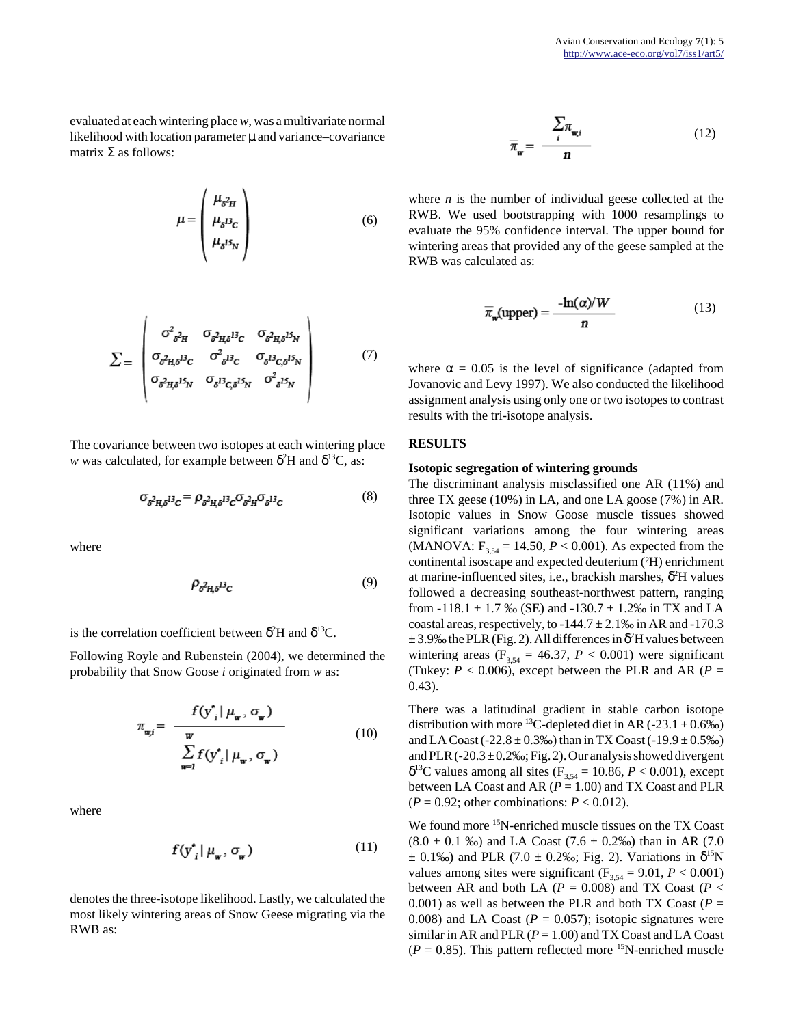evaluated at each wintering place *w*, was a multivariate normal likelihood with location parameter  $\mu$  and variance–covariance matrix  $Σ$  as follows:

$$
\mu = \begin{pmatrix} \mu_{\delta^2 H} \\ \mu_{\delta^{13} C} \\ \mu_{\delta^{15} N} \end{pmatrix}
$$
 (6)

$$
\Sigma = \begin{pmatrix}\n\sigma_{\delta^2 H}^2 & \sigma_{\delta^2 H \delta} B_{C} & \sigma_{\delta^2 H \delta} B_{N} \\
\sigma_{\delta^2 H \delta} B_{C} & \sigma_{\delta^2 B_{C}}^2 & \sigma_{\delta^2 B_{C \delta} B_{N}} \\
\sigma_{\delta^2 H \delta} B_{N} & \sigma_{\delta^2 B_{C \delta} B_{N}} & \sigma_{\delta^2 B_{N}}^2\n\end{pmatrix} \tag{7}
$$

The covariance between two isotopes at each wintering place *w* was calculated, for example between  $\delta^2$ H and  $\delta^{13}$ C, as:

$$
\sigma_{\delta^2 \mathbf{H}, \delta^1} \sigma = \rho_{\delta^2 \mathbf{H}, \delta^1} \sigma_{\delta^2 \mathbf{H}} \sigma_{\delta^1} \sigma_{\delta^1} \sigma_{\delta^2} \tag{8}
$$

where

$$
\rho_{\delta^2 \mathbf{H} \delta^{\mathbf{I} \mathbf{3}} \mathbf{C}} \tag{9}
$$

is the correlation coefficient between  $\delta^2$ H and  $\delta^{13}$ C.

Following Royle and Rubenstein (2004), we determined the probability that Snow Goose *i* originated from *w* as:

$$
\pi_{\mathbf{w},i} = \frac{f(\mathbf{y}_{i}^{*} | \boldsymbol{\mu}_{\mathbf{w}}, \sigma_{\mathbf{w}})}{\sum_{\mathbf{w}=i}^{W} f(\mathbf{y}_{i}^{*} | \boldsymbol{\mu}_{\mathbf{w}}, \sigma_{\mathbf{w}})}
$$
(10)

where

$$
f(\mathbf{y}_{i}^{\star} | \boldsymbol{\mu}_{\mathbf{w}}, \boldsymbol{\sigma}_{\mathbf{w}}) \tag{11}
$$

denotes the three-isotope likelihood. Lastly, we calculated the most likely wintering areas of Snow Geese migrating via the RWB as:

$$
\overline{\pi}_{w} = \frac{\sum_{i} \pi_{w,i}}{n} \tag{12}
$$

where *n* is the number of individual geese collected at the RWB. We used bootstrapping with 1000 resamplings to evaluate the 95% confidence interval. The upper bound for wintering areas that provided any of the geese sampled at the RWB was calculated as:

$$
\overline{\pi}_{w}(\text{upper}) = \frac{-\ln(\alpha)/W}{n} \tag{13}
$$

where  $\alpha = 0.05$  is the level of significance (adapted from Jovanovic and Levy 1997). We also conducted the likelihood assignment analysis using only one or two isotopes to contrast results with the tri-isotope analysis.

#### **RESULTS**

#### **Isotopic segregation of wintering grounds**

The discriminant analysis misclassified one AR (11%) and three TX geese (10%) in LA, and one LA goose (7%) in AR. Isotopic values in Snow Goose muscle tissues showed significant variations among the four wintering areas (MANOVA:  $F_{3,54} = 14.50, P < 0.001$ ). As expected from the continental isoscape and expected deuterium (²H) enrichment at marine-influenced sites, i.e., brackish marshes,  $\delta^2 H$  values followed a decreasing southeast-northwest pattern, ranging from -118.1  $\pm$  1.7 ‰ (SE) and -130.7  $\pm$  1.2‰ in TX and LA coastal areas, respectively, to  $-144.7 \pm 2.1\%$  in AR and  $-170.3$  $\pm$  3.9% the PLR (Fig. 2). All differences in  $\delta^2$ H values between wintering areas ( $F_{3,54} = 46.37$ ,  $P < 0.001$ ) were significant (Tukey:  $P < 0.006$ ), except between the PLR and AR ( $P =$ 0.43).

There was a latitudinal gradient in stable carbon isotope distribution with more <sup>13</sup>C-depleted diet in AR (-23.1  $\pm$  0.6‰) and LA Coast (-22.8  $\pm$  0.3‰) than in TX Coast (-19.9  $\pm$  0.5‰) and PLR ( $-20.3 \pm 0.2\%$ ; Fig. 2). Our analysis showed divergent  $δ<sup>13</sup>C$  values among all sites (F<sub>3,54</sub> = 10.86, *P* < 0.001), except between LA Coast and AR (*P* = 1.00) and TX Coast and PLR  $(P = 0.92$ ; other combinations:  $P < 0.012$ ).

We found more <sup>15</sup>N-enriched muscle tissues on the TX Coast  $(8.0 \pm 0.1 \text{ %})$  and LA Coast  $(7.6 \pm 0.2\text{ %})$  than in AR  $(7.0 \pm 0.1\text{ %})$  $\pm$  0.1‰) and PLR (7.0  $\pm$  0.2‰; Fig. 2). Variations in  $\delta^{15}N$ values among sites were significant  $(F_{3,54} = 9.01, P < 0.001)$ between AR and both LA ( $P = 0.008$ ) and TX Coast ( $P <$ 0.001) as well as between the PLR and both TX Coast ( $P =$ 0.008) and LA Coast  $(P = 0.057)$ ; isotopic signatures were similar in AR and PLR  $(P = 1.00)$  and TX Coast and LA Coast  $(P = 0.85)$ . This pattern reflected more <sup>15</sup>N-enriched muscle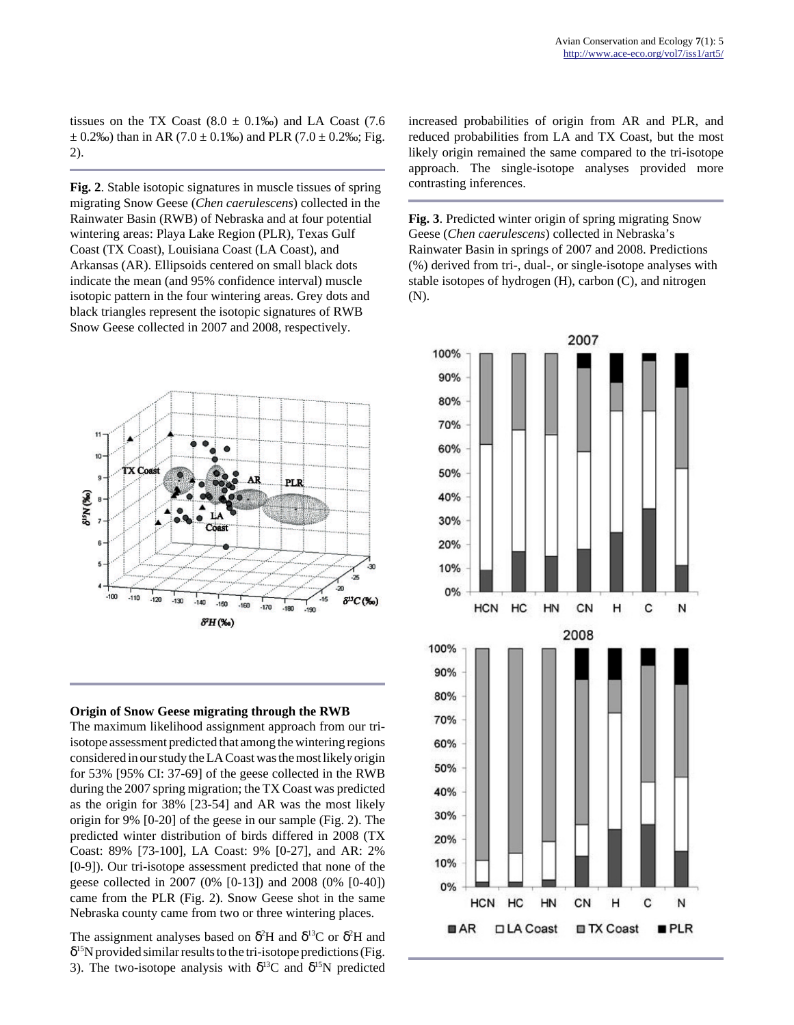tissues on the TX Coast  $(8.0 \pm 0.1\%)$  and LA Coast  $(7.6$  $\pm$  0.2‰) than in AR (7.0  $\pm$  0.1‰) and PLR (7.0  $\pm$  0.2‰; Fig. 2).

**Fig. 2**. Stable isotopic signatures in muscle tissues of spring migrating Snow Geese (*Chen caerulescens*) collected in the Rainwater Basin (RWB) of Nebraska and at four potential wintering areas: Playa Lake Region (PLR), Texas Gulf Coast (TX Coast), Louisiana Coast (LA Coast), and Arkansas (AR). Ellipsoids centered on small black dots indicate the mean (and 95% confidence interval) muscle isotopic pattern in the four wintering areas. Grey dots and black triangles represent the isotopic signatures of RWB Snow Geese collected in 2007 and 2008, respectively.





The maximum likelihood assignment approach from our triisotope assessment predicted that among the wintering regions considered in our study the LA Coast was the most likely origin for 53% [95% CI: 37-69] of the geese collected in the RWB during the 2007 spring migration; the TX Coast was predicted as the origin for 38% [23-54] and AR was the most likely origin for 9% [0-20] of the geese in our sample (Fig. 2). The predicted winter distribution of birds differed in 2008 (TX Coast: 89% [73-100], LA Coast: 9% [0-27], and AR: 2% [0-9]). Our tri-isotope assessment predicted that none of the geese collected in 2007 (0% [0-13]) and 2008 (0% [0-40]) came from the PLR (Fig. 2). Snow Geese shot in the same Nebraska county came from two or three wintering places.

The assignment analyses based on  $\delta^2$ H and  $\delta^{13}$ C or  $\delta^2$ H and  $\delta^{15}$ N provided similar results to the tri-isotope predictions (Fig. 3). The two-isotope analysis with  $\delta^{13}C$  and  $\delta^{15}N$  predicted

increased probabilities of origin from AR and PLR, and reduced probabilities from LA and TX Coast, but the most likely origin remained the same compared to the tri-isotope approach. The single-isotope analyses provided more contrasting inferences.

**Fig. 3**. Predicted winter origin of spring migrating Snow Geese (*Chen caerulescens*) collected in Nebraska's Rainwater Basin in springs of 2007 and 2008. Predictions (%) derived from tri-, dual-, or single-isotope analyses with stable isotopes of hydrogen (H), carbon (C), and nitrogen (N).

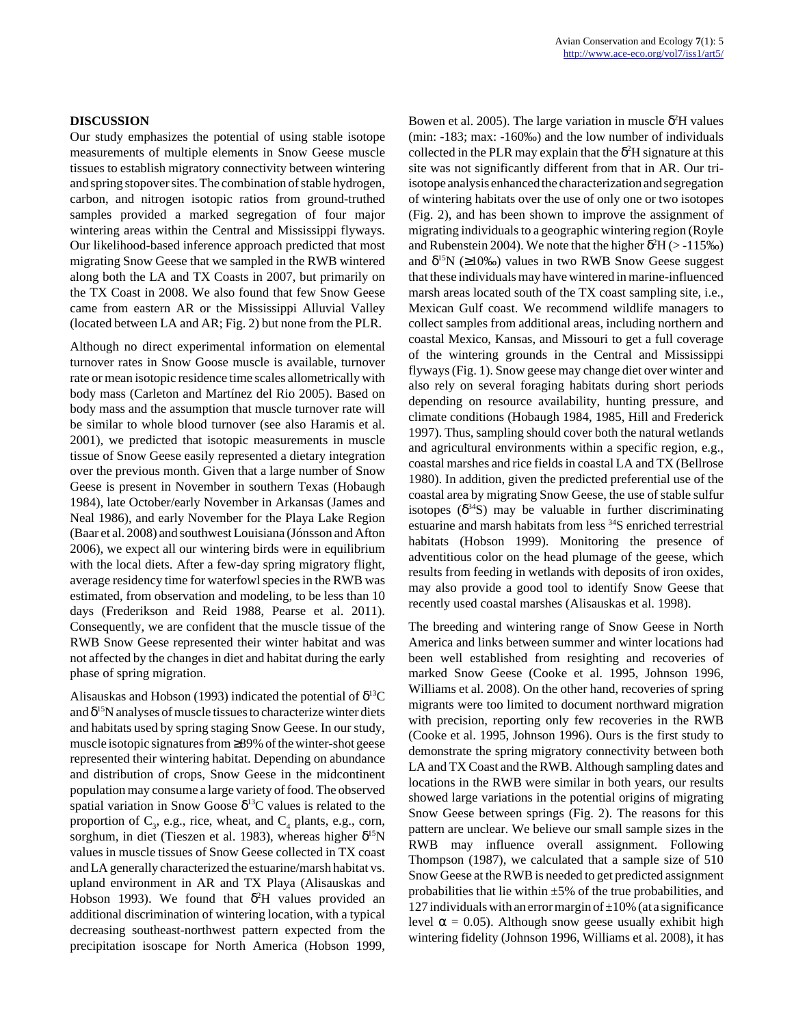#### **DISCUSSION**

Our study emphasizes the potential of using stable isotope measurements of multiple elements in Snow Geese muscle tissues to establish migratory connectivity between wintering and spring stopover sites. The combination of stable hydrogen, carbon, and nitrogen isotopic ratios from ground-truthed samples provided a marked segregation of four major wintering areas within the Central and Mississippi flyways. Our likelihood-based inference approach predicted that most migrating Snow Geese that we sampled in the RWB wintered along both the LA and TX Coasts in 2007, but primarily on the TX Coast in 2008. We also found that few Snow Geese came from eastern AR or the Mississippi Alluvial Valley (located between LA and AR; Fig. 2) but none from the PLR.

Although no direct experimental information on elemental turnover rates in Snow Goose muscle is available, turnover rate or mean isotopic residence time scales allometrically with body mass (Carleton and Martínez del Rio 2005). Based on body mass and the assumption that muscle turnover rate will be similar to whole blood turnover (see also Haramis et al. 2001), we predicted that isotopic measurements in muscle tissue of Snow Geese easily represented a dietary integration over the previous month. Given that a large number of Snow Geese is present in November in southern Texas (Hobaugh 1984), late October/early November in Arkansas (James and Neal 1986), and early November for the Playa Lake Region (Baar et al. 2008) and southwest Louisiana (Jónsson and Afton 2006), we expect all our wintering birds were in equilibrium with the local diets. After a few-day spring migratory flight, average residency time for waterfowl species in the RWB was estimated, from observation and modeling, to be less than 10 days (Frederikson and Reid 1988, Pearse et al. 2011). Consequently, we are confident that the muscle tissue of the RWB Snow Geese represented their winter habitat and was not affected by the changes in diet and habitat during the early phase of spring migration.

Alisauskas and Hobson (1993) indicated the potential of  $\delta^{13}C$ and  $\delta^{15}N$  analyses of muscle tissues to characterize winter diets and habitats used by spring staging Snow Geese. In our study, muscle isotopic signatures from ≥89% of the winter-shot geese represented their wintering habitat. Depending on abundance and distribution of crops, Snow Geese in the midcontinent population may consume a large variety of food. The observed spatial variation in Snow Goose  $\delta^{13}$ C values is related to the proportion of  $C_3$ , e.g., rice, wheat, and  $C_4$  plants, e.g., corn, sorghum, in diet (Tieszen et al. 1983), whereas higher δ<sup>15</sup>N values in muscle tissues of Snow Geese collected in TX coast and LA generally characterized the estuarine/marsh habitat vs. upland environment in AR and TX Playa (Alisauskas and Hobson 1993). We found that  $\delta^2$ H values provided an additional discrimination of wintering location, with a typical decreasing southeast-northwest pattern expected from the precipitation isoscape for North America (Hobson 1999,

Bowen et al. 2005). The large variation in muscle  $\delta^2$ H values (min: -183; max: -160‰) and the low number of individuals collected in the PLR may explain that the  $\delta^2$ H signature at this site was not significantly different from that in AR. Our triisotope analysis enhanced the characterization and segregation of wintering habitats over the use of only one or two isotopes (Fig. 2), and has been shown to improve the assignment of migrating individuals to a geographic wintering region (Royle and Rubenstein 2004). We note that the higher  $\delta^2 H$  (> -115‰) and  $\delta^{15}N$  ( $\geq$ 10‰) values in two RWB Snow Geese suggest that these individuals may have wintered in marine-influenced marsh areas located south of the TX coast sampling site, i.e., Mexican Gulf coast. We recommend wildlife managers to collect samples from additional areas, including northern and coastal Mexico, Kansas, and Missouri to get a full coverage of the wintering grounds in the Central and Mississippi flyways (Fig. 1). Snow geese may change diet over winter and also rely on several foraging habitats during short periods depending on resource availability, hunting pressure, and climate conditions (Hobaugh 1984, 1985, Hill and Frederick 1997). Thus, sampling should cover both the natural wetlands and agricultural environments within a specific region, e.g., coastal marshes and rice fields in coastal LA and TX (Bellrose 1980). In addition, given the predicted preferential use of the coastal area by migrating Snow Geese, the use of stable sulfur isotopes  $(\delta^{34}S)$  may be valuable in further discriminating estuarine and marsh habitats from less <sup>34</sup>S enriched terrestrial habitats (Hobson 1999). Monitoring the presence of adventitious color on the head plumage of the geese, which results from feeding in wetlands with deposits of iron oxides, may also provide a good tool to identify Snow Geese that recently used coastal marshes (Alisauskas et al. 1998).

The breeding and wintering range of Snow Geese in North America and links between summer and winter locations had been well established from resighting and recoveries of marked Snow Geese (Cooke et al. 1995, Johnson 1996, Williams et al. 2008). On the other hand, recoveries of spring migrants were too limited to document northward migration with precision, reporting only few recoveries in the RWB (Cooke et al. 1995, Johnson 1996). Ours is the first study to demonstrate the spring migratory connectivity between both LA and TX Coast and the RWB. Although sampling dates and locations in the RWB were similar in both years, our results showed large variations in the potential origins of migrating Snow Geese between springs (Fig. 2). The reasons for this pattern are unclear. We believe our small sample sizes in the RWB may influence overall assignment. Following Thompson (1987), we calculated that a sample size of 510 Snow Geese at the RWB is needed to get predicted assignment probabilities that lie within  $\pm 5\%$  of the true probabilities, and 127 individuals with an error margin of  $\pm 10$ % (at a significance level  $\alpha$  = 0.05). Although snow geese usually exhibit high wintering fidelity (Johnson 1996, Williams et al. 2008), it has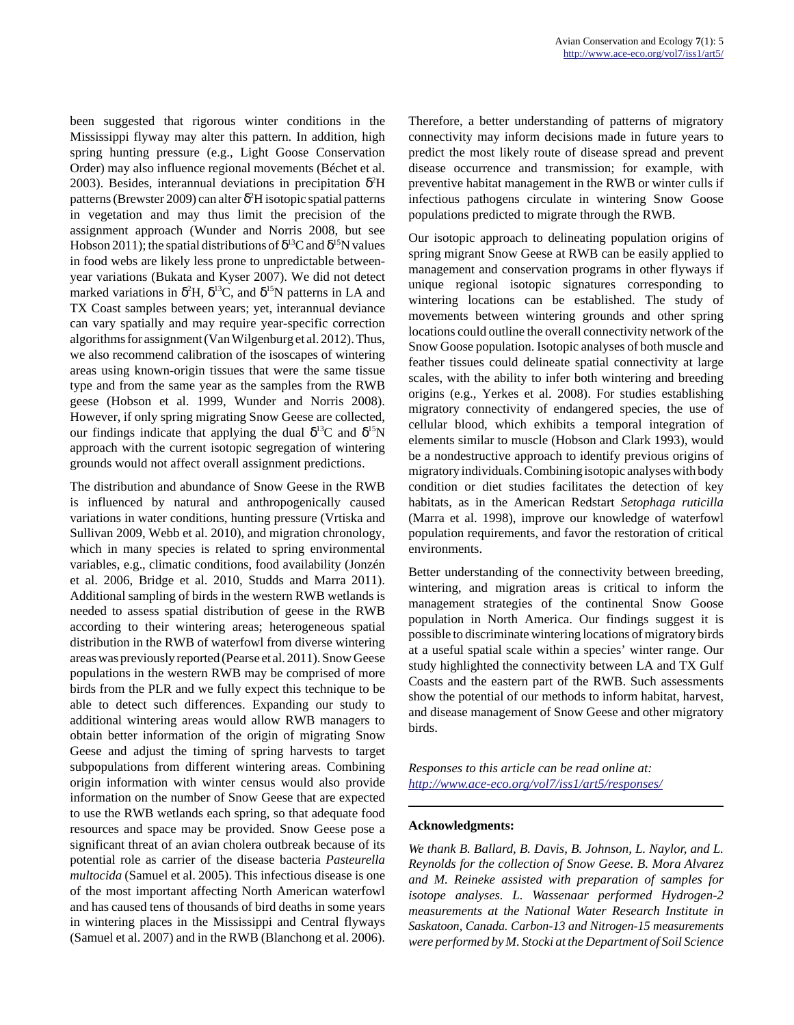been suggested that rigorous winter conditions in the Mississippi flyway may alter this pattern. In addition, high spring hunting pressure (e.g., Light Goose Conservation Order) may also influence regional movements (Béchet et al. 2003). Besides, interannual deviations in precipitation  $\delta^2$ H patterns (Brewster 2009) can alter  $\delta^2H$  isotopic spatial patterns in vegetation and may thus limit the precision of the assignment approach (Wunder and Norris 2008, but see Hobson 2011); the spatial distributions of  $\delta^{13}C$  and  $\delta^{15}N$  values in food webs are likely less prone to unpredictable betweenyear variations (Bukata and Kyser 2007). We did not detect marked variations in  $\delta^2 H$ ,  $\delta^{13}C$ , and  $\delta^{15}N$  patterns in LA and TX Coast samples between years; yet, interannual deviance can vary spatially and may require year-specific correction algorithms for assignment (Van Wilgenburg et al. 2012). Thus, we also recommend calibration of the isoscapes of wintering areas using known-origin tissues that were the same tissue type and from the same year as the samples from the RWB geese (Hobson et al. 1999, Wunder and Norris 2008). However, if only spring migrating Snow Geese are collected, our findings indicate that applying the dual  $\delta^{13}C$  and  $\delta^{15}N$ approach with the current isotopic segregation of wintering grounds would not affect overall assignment predictions.

The distribution and abundance of Snow Geese in the RWB is influenced by natural and anthropogenically caused variations in water conditions, hunting pressure (Vrtiska and Sullivan 2009, Webb et al. 2010), and migration chronology, which in many species is related to spring environmental variables, e.g., climatic conditions, food availability (Jonzén et al. 2006, Bridge et al. 2010, Studds and Marra 2011). Additional sampling of birds in the western RWB wetlands is needed to assess spatial distribution of geese in the RWB according to their wintering areas; heterogeneous spatial distribution in the RWB of waterfowl from diverse wintering areas was previously reported (Pearse et al. 2011). Snow Geese populations in the western RWB may be comprised of more birds from the PLR and we fully expect this technique to be able to detect such differences. Expanding our study to additional wintering areas would allow RWB managers to obtain better information of the origin of migrating Snow Geese and adjust the timing of spring harvests to target subpopulations from different wintering areas. Combining origin information with winter census would also provide information on the number of Snow Geese that are expected to use the RWB wetlands each spring, so that adequate food resources and space may be provided. Snow Geese pose a significant threat of an avian cholera outbreak because of its potential role as carrier of the disease bacteria *Pasteurella multocida* (Samuel et al. 2005). This infectious disease is one of the most important affecting North American waterfowl and has caused tens of thousands of bird deaths in some years in wintering places in the Mississippi and Central flyways (Samuel et al. 2007) and in the RWB (Blanchong et al. 2006). Therefore, a better understanding of patterns of migratory connectivity may inform decisions made in future years to predict the most likely route of disease spread and prevent disease occurrence and transmission; for example, with preventive habitat management in the RWB or winter culls if infectious pathogens circulate in wintering Snow Goose populations predicted to migrate through the RWB.

Our isotopic approach to delineating population origins of spring migrant Snow Geese at RWB can be easily applied to management and conservation programs in other flyways if unique regional isotopic signatures corresponding to wintering locations can be established. The study of movements between wintering grounds and other spring locations could outline the overall connectivity network of the Snow Goose population. Isotopic analyses of both muscle and feather tissues could delineate spatial connectivity at large scales, with the ability to infer both wintering and breeding origins (e.g., Yerkes et al. 2008). For studies establishing migratory connectivity of endangered species, the use of cellular blood, which exhibits a temporal integration of elements similar to muscle (Hobson and Clark 1993), would be a nondestructive approach to identify previous origins of migratory individuals. Combining isotopic analyses with body condition or diet studies facilitates the detection of key habitats, as in the American Redstart *Setophaga ruticilla* (Marra et al. 1998), improve our knowledge of waterfowl population requirements, and favor the restoration of critical environments.

Better understanding of the connectivity between breeding, wintering, and migration areas is critical to inform the management strategies of the continental Snow Goose population in North America. Our findings suggest it is possible to discriminate wintering locations of migratory birds at a useful spatial scale within a species' winter range. Our study highlighted the connectivity between LA and TX Gulf Coasts and the eastern part of the RWB. Such assessments show the potential of our methods to inform habitat, harvest, and disease management of Snow Geese and other migratory birds.

*Responses to this article can be read online at: <http://www.ace-eco.org/vol7/iss1/art5/responses/>*

#### **Acknowledgments:**

*We thank B. Ballard, B. Davis, B. Johnson, L. Naylor, and L. Reynolds for the collection of Snow Geese. B. Mora Alvarez and M. Reineke assisted with preparation of samples for isotope analyses. L. Wassenaar performed Hydrogen-2 measurements at the National Water Research Institute in Saskatoon, Canada. Carbon-13 and Nitrogen-15 measurements were performed by M. Stocki at the Department of Soil Science*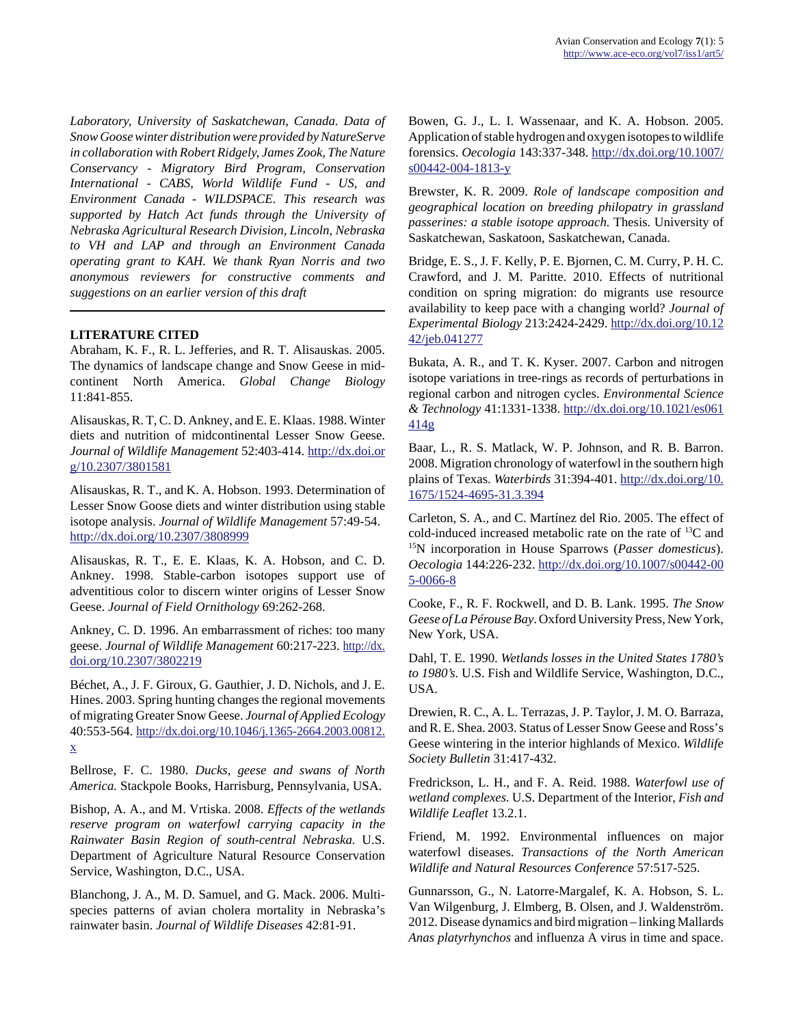*Laboratory, University of Saskatchewan, Canada. Data of Snow Goose winter distribution were provided by NatureServe in collaboration with Robert Ridgely, James Zook, The Nature Conservancy - Migratory Bird Program, Conservation International - CABS, World Wildlife Fund - US, and Environment Canada - WILDSPACE. This research was supported by Hatch Act funds through the University of Nebraska Agricultural Research Division, Lincoln, Nebraska to VH and LAP and through an Environment Canada operating grant to KAH. We thank Ryan Norris and two anonymous reviewers for constructive comments and suggestions on an earlier version of this draft*

# **LITERATURE CITED**

Abraham, K. F., R. L. Jefferies, and R. T. Alisauskas. 2005. The dynamics of landscape change and Snow Geese in midcontinent North America. *Global Change Biology* 11:841-855.

Alisauskas, R. T, C. D. Ankney, and E. E. Klaas. 1988. Winter diets and nutrition of midcontinental Lesser Snow Geese. *Journal of Wildlife Management* 52:403-414. [http://dx.doi.or](http://dx.doi.org/10.2307/3801581) [g/10.2307/3801581](http://dx.doi.org/10.2307/3801581)

Alisauskas, R. T., and K. A. Hobson. 1993. Determination of Lesser Snow Goose diets and winter distribution using stable isotope analysis. *Journal of Wildlife Management* 57:49-54. <http://dx.doi.org/10.2307/3808999>

Alisauskas, R. T., E. E. Klaas, K. A. Hobson, and C. D. Ankney. 1998. Stable-carbon isotopes support use of adventitious color to discern winter origins of Lesser Snow Geese. *Journal of Field Ornithology* 69:262-268.

Ankney, C. D. 1996. An embarrassment of riches: too many geese. *Journal of Wildlife Management* 60:217-223. [http://dx.](http://dx.doi.org/10.2307/3802219) [doi.org/10.2307/3802219](http://dx.doi.org/10.2307/3802219)

Béchet, A., J. F. Giroux, G. Gauthier, J. D. Nichols, and J. E. Hines. 2003. Spring hunting changes the regional movements of migrating Greater Snow Geese. *Journal of Applied Ecology* 40:553-564. [http://dx.doi.org/10.1046/j.1365-2664.2003.00812.](http://dx.doi.org/10.1046/j.1365-2664.2003.00812.x) [x](http://dx.doi.org/10.1046/j.1365-2664.2003.00812.x)

Bellrose, F. C. 1980. *Ducks, geese and swans of North America.* Stackpole Books, Harrisburg, Pennsylvania, USA.

Bishop, A. A., and M. Vrtiska. 2008. *Effects of the wetlands reserve program on waterfowl carrying capacity in the Rainwater Basin Region of south-central Nebraska.* U.S. Department of Agriculture Natural Resource Conservation Service, Washington, D.C., USA.

Blanchong, J. A., M. D. Samuel, and G. Mack. 2006. Multispecies patterns of avian cholera mortality in Nebraska's rainwater basin. *Journal of Wildlife Diseases* 42:81-91.

Bowen, G. J., L. I. Wassenaar, and K. A. Hobson. 2005. Application of stable hydrogen and oxygen isotopes to wildlife forensics. *Oecologia* 143:337-348. [http://dx.doi.org/10.1007/](http://dx.doi.org/10.1007/s00442-004-1813-y) [s00442-004-1813-y](http://dx.doi.org/10.1007/s00442-004-1813-y)

Brewster, K. R. 2009. *Role of landscape composition and geographical location on breeding philopatry in grassland passerines: a stable isotope approach.* Thesis. University of Saskatchewan, Saskatoon, Saskatchewan, Canada.

Bridge, E. S., J. F. Kelly, P. E. Bjornen, C. M. Curry, P. H. C. Crawford, and J. M. Paritte. 2010. Effects of nutritional condition on spring migration: do migrants use resource availability to keep pace with a changing world? *Journal of Experimental Biology* 213:2424-2429. [http://dx.doi.org/10.12](http://dx.doi.org/10.1242/jeb.041277) [42/jeb.041277](http://dx.doi.org/10.1242/jeb.041277)

Bukata, A. R., and T. K. Kyser. 2007. Carbon and nitrogen isotope variations in tree-rings as records of perturbations in regional carbon and nitrogen cycles. *Environmental Science & Technology* 41:1331-1338. [http://dx.doi.org/10.1021/es061](http://dx.doi.org/10.1021/es061414g) [414g](http://dx.doi.org/10.1021/es061414g)

Baar, L., R. S. Matlack, W. P. Johnson, and R. B. Barron. 2008. Migration chronology of waterfowl in the southern high plains of Texas. *Waterbirds* 31:394-401. [http://dx.doi.org/10.](http://dx.doi.org/10.1675/1524-4695-31.3.394) [1675/1524-4695-31.3.394](http://dx.doi.org/10.1675/1524-4695-31.3.394)

Carleton, S. A., and C. Martínez del Rio. 2005. The effect of cold-induced increased metabolic rate on the rate of  $^{13}$ C and <sup>15</sup>N incorporation in House Sparrows (*Passer domesticus*). *Oecologia* 144:226-232. [http://dx.doi.org/10.1007/s00442-00](http://dx.doi.org/10.1007/s00442-005-0066-8) [5-0066-8](http://dx.doi.org/10.1007/s00442-005-0066-8)

Cooke, F., R. F. Rockwell, and D. B. Lank. 1995. *The Snow Geese of La Pérouse Bay*. Oxford University Press, New York, New York, USA.

Dahl, T. E. 1990. *Wetlands losses in the United States 1780's to 1980's.* U.S. Fish and Wildlife Service, Washington, D.C., USA.

Drewien, R. C., A. L. Terrazas, J. P. Taylor, J. M. O. Barraza, and R. E. Shea. 2003. Status of Lesser Snow Geese and Ross's Geese wintering in the interior highlands of Mexico. *Wildlife Society Bulletin* 31:417-432.

Fredrickson, L. H., and F. A. Reid. 1988. *Waterfowl use of wetland complexes.* U.S. Department of the Interior, *Fish and Wildlife Leaflet* 13.2.1.

Friend, M. 1992. Environmental influences on major waterfowl diseases. *Transactions of the North American Wildlife and Natural Resources Conference* 57:517-525.

Gunnarsson, G., N. Latorre-Margalef, K. A. Hobson, S. L. Van Wilgenburg, J. Elmberg, B. Olsen, and J. Waldenström. 2012. Disease dynamics and bird migration – linking Mallards *Anas platyrhynchos* and influenza A virus in time and space.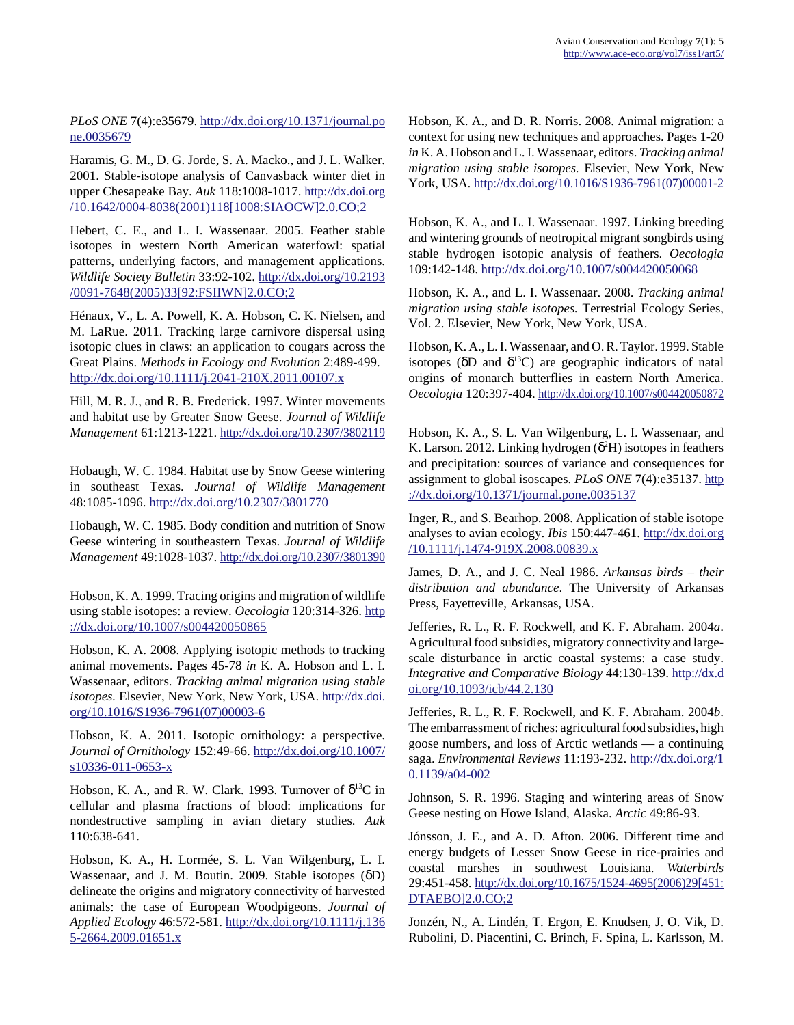*PLoS ONE* 7(4):e35679. [http://dx.doi.org/10.1371/journal.po](http://dx.doi.org/10.1371/journal.pone.0035679) [ne.0035679](http://dx.doi.org/10.1371/journal.pone.0035679)

Haramis, G. M., D. G. Jorde, S. A. Macko., and J. L. Walker. 2001. Stable-isotope analysis of Canvasback winter diet in upper Chesapeake Bay. *Auk* 118:1008-1017. [http://dx.doi.org](http://dx.doi.org/10.1642/0004-8038(2001)118[1008:SIAOCW]2.0.CO;2) [/10.1642/0004-8038\(2001\)118\[1008:SIAOCW\]2.0.CO;2](http://dx.doi.org/10.1642/0004-8038(2001)118[1008:SIAOCW]2.0.CO;2)

Hebert, C. E., and L. I. Wassenaar. 2005. Feather stable isotopes in western North American waterfowl: spatial patterns, underlying factors, and management applications. *Wildlife Society Bulletin* 33:92-102. [http://dx.doi.org/10.2193](http://dx.doi.org/10.2193/0091-7648(2005)33[92:FSIIWN]2.0.CO;2) [/0091-7648\(2005\)33\[92:FSIIWN\]2.0.CO;2](http://dx.doi.org/10.2193/0091-7648(2005)33[92:FSIIWN]2.0.CO;2)

Hénaux, V., L. A. Powell, K. A. Hobson, C. K. Nielsen, and M. LaRue. 2011. Tracking large carnivore dispersal using isotopic clues in claws: an application to cougars across the Great Plains. *Methods in Ecology and Evolution* 2:489-499. <http://dx.doi.org/10.1111/j.2041-210X.2011.00107.x>

Hill, M. R. J., and R. B. Frederick. 1997. Winter movements and habitat use by Greater Snow Geese. *Journal of Wildlife Management* 61:1213-1221. <http://dx.doi.org/10.2307/3802119>

Hobaugh, W. C. 1984. Habitat use by Snow Geese wintering in southeast Texas. *Journal of Wildlife Management* 48:1085-1096.<http://dx.doi.org/10.2307/3801770>

Hobaugh, W. C. 1985. Body condition and nutrition of Snow Geese wintering in southeastern Texas. *Journal of Wildlife Management* 49:1028-1037. <http://dx.doi.org/10.2307/3801390>

Hobson, K. A. 1999. Tracing origins and migration of wildlife using stable isotopes: a review. *Oecologia* 120:314-326. [http](http://dx.doi.org/10.1007/s004420050865) [://dx.doi.org/10.1007/s004420050865](http://dx.doi.org/10.1007/s004420050865)

Hobson, K. A. 2008. Applying isotopic methods to tracking animal movements. Pages 45-78 *in* K. A. Hobson and L. I. Wassenaar, editors. *Tracking animal migration using stable isotopes.* Elsevier, New York, New York, USA. [http://dx.doi.](http://dx.doi.org/10.1016/S1936-7961(07)00003-6) [org/10.1016/S1936-7961\(07\)00003-6](http://dx.doi.org/10.1016/S1936-7961(07)00003-6)

Hobson, K. A. 2011. Isotopic ornithology: a perspective. *Journal of Ornithology* 152:49-66. [http://dx.doi.org/10.1007/](http://dx.doi.org/10.1007/s10336-011-0653-x) [s10336-011-0653-x](http://dx.doi.org/10.1007/s10336-011-0653-x)

Hobson, K. A., and R. W. Clark. 1993. Turnover of  $\delta^{13}C$  in cellular and plasma fractions of blood: implications for nondestructive sampling in avian dietary studies. *Auk* 110:638-641.

Hobson, K. A., H. Lormée, S. L. Van Wilgenburg, L. I. Wassenaar, and J. M. Boutin. 2009. Stable isotopes (δD) delineate the origins and migratory connectivity of harvested animals: the case of European Woodpigeons. *Journal of Applied Ecology* 46:572-581. [http://dx.doi.org/10.1111/j.136](http://dx.doi.org/10.1111/j.1365-2664.2009.01651.x) [5-2664.2009.01651.x](http://dx.doi.org/10.1111/j.1365-2664.2009.01651.x)

Hobson, K. A., and D. R. Norris. 2008. Animal migration: a context for using new techniques and approaches. Pages 1-20 *in* K. A. Hobson and L. I. Wassenaar, editors. *Tracking animal migration using stable isotopes.* Elsevier, New York, New York, USA. [http://dx.doi.org/10.1016/S1936-7961\(07\)00001-2](http://dx.doi.org/10.1016/S1936-7961(07)00001-2)

Hobson, K. A., and L. I. Wassenaar. 1997. Linking breeding and wintering grounds of neotropical migrant songbirds using stable hydrogen isotopic analysis of feathers. *Oecologia* 109:142-148.<http://dx.doi.org/10.1007/s004420050068>

Hobson, K. A., and L. I. Wassenaar. 2008. *Tracking animal migration using stable isotopes.* Terrestrial Ecology Series, Vol. 2. Elsevier, New York, New York, USA.

Hobson, K. A., L. I. Wassenaar, and O. R. Taylor. 1999. Stable isotopes ( $\delta$ D and  $\delta$ <sup>13</sup>C) are geographic indicators of natal origins of monarch butterflies in eastern North America. *Oecologia* 120:397-404.<http://dx.doi.org/10.1007/s004420050872>

Hobson, K. A., S. L. Van Wilgenburg, L. I. Wassenaar, and K. Larson. 2012. Linking hydrogen ( $\delta^2$ H) isotopes in feathers and precipitation: sources of variance and consequences for assignment to global isoscapes. *PLoS ONE* 7(4):e35137. [http](http://dx.doi.org/10.1371/journal.pone.0035137) [://dx.doi.org/10.1371/journal.pone.0035137](http://dx.doi.org/10.1371/journal.pone.0035137)

Inger, R., and S. Bearhop. 2008. Application of stable isotope analyses to avian ecology. *Ibis* 150:447-461. [http://dx.doi.org](http://dx.doi.org/10.1111/j.1474-919X.2008.00839.x) [/10.1111/j.1474-919X.2008.00839.x](http://dx.doi.org/10.1111/j.1474-919X.2008.00839.x)

James, D. A., and J. C. Neal 1986. *Arkansas birds – their distribution and abundance*. The University of Arkansas Press, Fayetteville, Arkansas, USA.

Jefferies, R. L., R. F. Rockwell, and K. F. Abraham. 2004*a*. Agricultural food subsidies, migratory connectivity and largescale disturbance in arctic coastal systems: a case study. *Integrative and Comparative Biology* 44:130-139. [http://dx.d](http://dx.doi.org/10.1093/icb/44.2.130) [oi.org/10.1093/icb/44.2.130](http://dx.doi.org/10.1093/icb/44.2.130)

Jefferies, R. L., R. F. Rockwell, and K. F. Abraham. 2004*b*. The embarrassment of riches: agricultural food subsidies, high goose numbers, and loss of Arctic wetlands — a continuing saga. *Environmental Reviews* 11:193-232. [http://dx.doi.org/1](http://dx.doi.org/10.1139/a04-002) [0.1139/a04-002](http://dx.doi.org/10.1139/a04-002)

Johnson, S. R. 1996. Staging and wintering areas of Snow Geese nesting on Howe Island, Alaska. *Arctic* 49:86-93.

Jónsson, J. E., and A. D. Afton. 2006. Different time and energy budgets of Lesser Snow Geese in rice-prairies and coastal marshes in southwest Louisiana. *Waterbirds* 29:451-458. [http://dx.doi.org/10.1675/1524-4695\(2006\)29\[451:](http://dx.doi.org/10.1675/1524-4695(2006)29[451:DTAEBO]2.0.CO;2) [DTAEBO\]2.0.CO;2](http://dx.doi.org/10.1675/1524-4695(2006)29[451:DTAEBO]2.0.CO;2)

Jonzén, N., A. Lindén, T. Ergon, E. Knudsen, J. O. Vik, D. Rubolini, D. Piacentini, C. Brinch, F. Spina, L. Karlsson, M.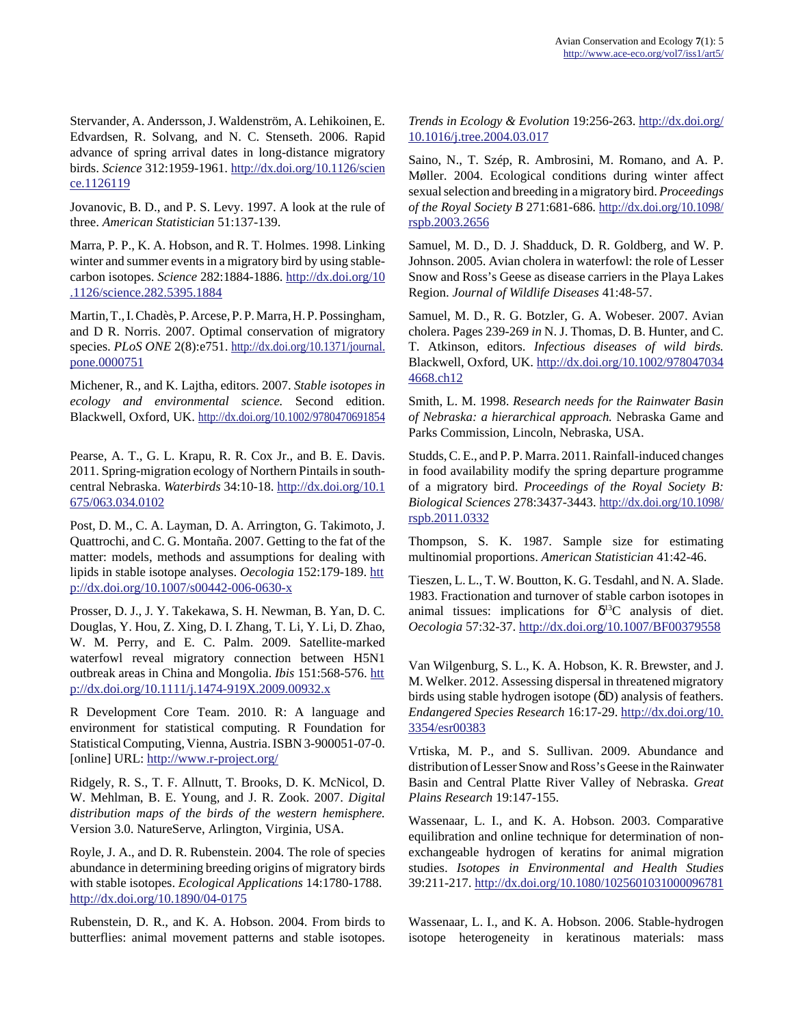Stervander, A. Andersson, J. Waldenström, A. Lehikoinen, E. Edvardsen, R. Solvang, and N. C. Stenseth. 2006. Rapid advance of spring arrival dates in long-distance migratory birds. *Science* 312:1959-1961. [http://dx.doi.org/10.1126/scien](http://dx.doi.org/10.1126/science.1126119) [ce.1126119](http://dx.doi.org/10.1126/science.1126119)

Jovanovic, B. D., and P. S. Levy. 1997. A look at the rule of three. *American Statistician* 51:137-139.

Marra, P. P., K. A. Hobson, and R. T. Holmes. 1998. Linking winter and summer events in a migratory bird by using stablecarbon isotopes. *Science* 282:1884-1886. [http://dx.doi.org/10](http://dx.doi.org/10.1126/science.282.5395.1884) [.1126/science.282.5395.1884](http://dx.doi.org/10.1126/science.282.5395.1884)

Martin, T., I. Chadès, P. Arcese, P. P. Marra, H. P. Possingham, and D R. Norris. 2007. Optimal conservation of migratory species. *PLoS ONE* 2(8):e751. [http://dx.doi.org/10.1371/journal.](http://dx.doi.org/10.1371/journal.pone.0000751) [pone.0000751](http://dx.doi.org/10.1371/journal.pone.0000751)

Michener, R., and K. Lajtha, editors. 2007. *Stable isotopes in ecology and environmental science.* Second edition. Blackwell, Oxford, UK. <http://dx.doi.org/10.1002/9780470691854>

Pearse, A. T., G. L. Krapu, R. R. Cox Jr., and B. E. Davis. 2011. Spring-migration ecology of Northern Pintails in southcentral Nebraska. *Waterbirds* 34:10-18. [http://dx.doi.org/10.1](http://dx.doi.org/10.1675/063.034.0102) [675/063.034.0102](http://dx.doi.org/10.1675/063.034.0102)

Post, D. M., C. A. Layman, D. A. Arrington, G. Takimoto, J. Quattrochi, and C. G. Montaña. 2007. Getting to the fat of the matter: models, methods and assumptions for dealing with lipids in stable isotope analyses. *Oecologia* 152:179-189. [htt](http://dx.doi.org/10.1007/s00442-006-0630-x) [p://dx.doi.org/10.1007/s00442-006-0630-x](http://dx.doi.org/10.1007/s00442-006-0630-x)

Prosser, D. J., J. Y. Takekawa, S. H. Newman, B. Yan, D. C. Douglas, Y. Hou, Z. Xing, D. I. Zhang, T. Li, Y. Li, D. Zhao, W. M. Perry, and E. C. Palm. 2009. Satellite-marked waterfowl reveal migratory connection between H5N1 outbreak areas in China and Mongolia. *Ibis* 151:568-576. [htt](http://dx.doi.org/10.1111/j.1474-919X.2009.00932.x) [p://dx.doi.org/10.1111/j.1474-919X.2009.00932.x](http://dx.doi.org/10.1111/j.1474-919X.2009.00932.x)

R Development Core Team. 2010. R: A language and environment for statistical computing. R Foundation for Statistical Computing, Vienna, Austria. ISBN 3-900051-07-0. [online] URL:<http://www.r-project.org/>

Ridgely, R. S., T. F. Allnutt, T. Brooks, D. K. McNicol, D. W. Mehlman, B. E. Young, and J. R. Zook. 2007. *Digital distribution maps of the birds of the western hemisphere.* Version 3.0. NatureServe, Arlington, Virginia, USA.

Royle, J. A., and D. R. Rubenstein. 2004. The role of species abundance in determining breeding origins of migratory birds with stable isotopes. *Ecological Applications* 14:1780-1788. <http://dx.doi.org/10.1890/04-0175>

Rubenstein, D. R., and K. A. Hobson. 2004. From birds to butterflies: animal movement patterns and stable isotopes. *Trends in Ecology & Evolution* 19:256-263. [http://dx.doi.org/](http://dx.doi.org/10.1016/j.tree.2004.03.017) [10.1016/j.tree.2004.03.017](http://dx.doi.org/10.1016/j.tree.2004.03.017)

Saino, N., T. Szép, R. Ambrosini, M. Romano, and A. P. Møller. 2004. Ecological conditions during winter affect sexual selection and breeding in a migratory bird. *Proceedings of the Royal Society B* 271:681-686. [http://dx.doi.org/10.1098/](http://dx.doi.org/10.1098/rspb.2003.2656) [rspb.2003.2656](http://dx.doi.org/10.1098/rspb.2003.2656)

Samuel, M. D., D. J. Shadduck, D. R. Goldberg, and W. P. Johnson. 2005. Avian cholera in waterfowl: the role of Lesser Snow and Ross's Geese as disease carriers in the Playa Lakes Region. *Journal of Wildlife Diseases* 41:48-57.

Samuel, M. D., R. G. Botzler, G. A. Wobeser. 2007. Avian cholera. Pages 239-269 *in* N. J. Thomas, D. B. Hunter, and C. T. Atkinson, editors. *Infectious diseases of wild birds.* Blackwell, Oxford, UK. [http://dx.doi.org/10.1002/978047034](http://dx.doi.org/10.1002/9780470344668.ch12) [4668.ch12](http://dx.doi.org/10.1002/9780470344668.ch12)

Smith, L. M. 1998. *Research needs for the Rainwater Basin of Nebraska: a hierarchical approach.* Nebraska Game and Parks Commission, Lincoln, Nebraska, USA.

Studds, C. E., and P. P. Marra. 2011. Rainfall-induced changes in food availability modify the spring departure programme of a migratory bird. *Proceedings of the Royal Society B: Biological Sciences* 278:3437-3443. [http://dx.doi.org/10.1098/](http://dx.doi.org/10.1098/rspb.2011.0332) [rspb.2011.0332](http://dx.doi.org/10.1098/rspb.2011.0332)

Thompson, S. K. 1987. Sample size for estimating multinomial proportions. *American Statistician* 41:42-46.

Tieszen, L. L., T. W. Boutton, K. G. Tesdahl, and N. A. Slade. 1983. Fractionation and turnover of stable carbon isotopes in animal tissues: implications for  $\delta^{13}$ C analysis of diet. *Oecologia* 57:32-37.<http://dx.doi.org/10.1007/BF00379558>

Van Wilgenburg, S. L., K. A. Hobson, K. R. Brewster, and J. M. Welker. 2012. Assessing dispersal in threatened migratory birds using stable hydrogen isotope (δD) analysis of feathers. *Endangered Species Research* 16:17-29. [http://dx.doi.org/10.](http://dx.doi.org/10.3354/esr00383) [3354/esr00383](http://dx.doi.org/10.3354/esr00383)

Vrtiska, M. P., and S. Sullivan. 2009. Abundance and distribution of Lesser Snow and Ross's Geese in the Rainwater Basin and Central Platte River Valley of Nebraska. *Great Plains Research* 19:147-155.

Wassenaar, L. I., and K. A. Hobson. 2003. Comparative equilibration and online technique for determination of nonexchangeable hydrogen of keratins for animal migration studies. *Isotopes in Environmental and Health Studies* 39:211-217.<http://dx.doi.org/10.1080/1025601031000096781>

Wassenaar, L. I., and K. A. Hobson. 2006. Stable-hydrogen isotope heterogeneity in keratinous materials: mass